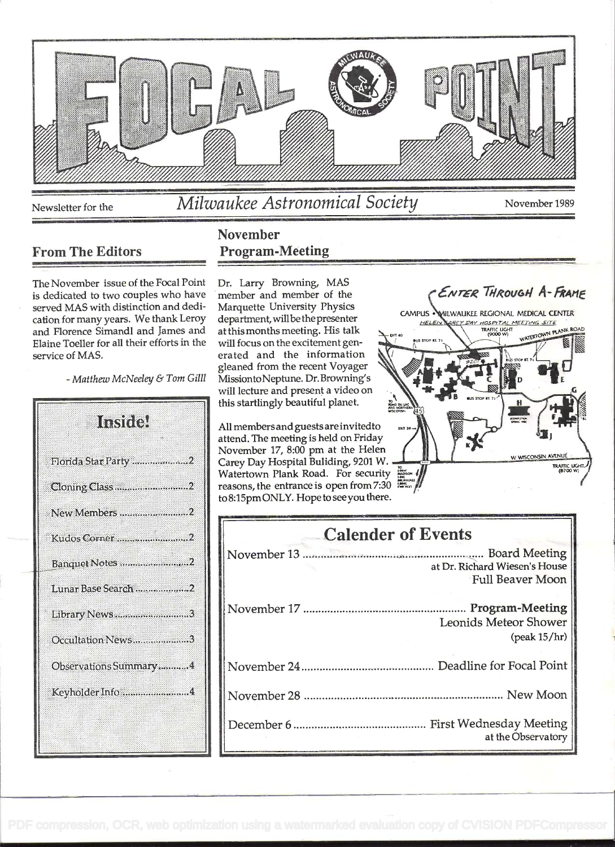

From The Editors

## November Program-Meeting

The November issue of the Focal Point is dedicated to two couples who have served MAS with distinction and dedication for many years. We thank Leroy and Florence Simandi and James and Elaine Toeller for all their efforts in the service of MAS.

- Matthew McNeeley & Tom Gilll

| Institel              |
|-----------------------|
| Florida Star Party 2  |
| Cloning Class2        |
| New Members 2         |
| Kudos Corner2         |
| Banquet Notes 2       |
| Lunar Base Search 2   |
| Library News3         |
| Occultation News3     |
| Observations Summary4 |
| Keyholder Info4       |
|                       |

Dr. Larry Browning, MAS member and member of the Marquette University Physics department, will be the presenter at this months meeting. His talk will focus on the excitement generated and the information gleaned from the recent Voyager MissiontoNeptune. Dr. Browning's will lecture and present a video on this startlingly beautiful planet.

All members and guests are invitedto attend. The meeting is held on Friday November 17, 8:00 pm at the Helen Carey Day Hospital Building, 9201 W. Watertown Plank Road. For security reasons, the entrance is open from 7:30 to8:I5pmONLY. Hope to seeyou there.

| <b>Calender of Events</b>                                                |
|--------------------------------------------------------------------------|
| at Dr. Richard Wiesen's House<br>Full Beaver Moon                        |
| <b>Program-Meeting</b><br><b>Leonids Meteor Shower</b><br>$(peak 15/hr)$ |
|                                                                          |
|                                                                          |
| at the Observatory                                                       |

**CAMPUS** HELEI

ENTER THROUGH A-FRAME

HOSPITAL MEETING SITE

**NATERTOWN PL** 

W. WISCONSIN AVENUE

TRAFFIC LIGH

MILWAUKEE REGIONAL MEDICAL CENTER

TRAFFIC LIGHT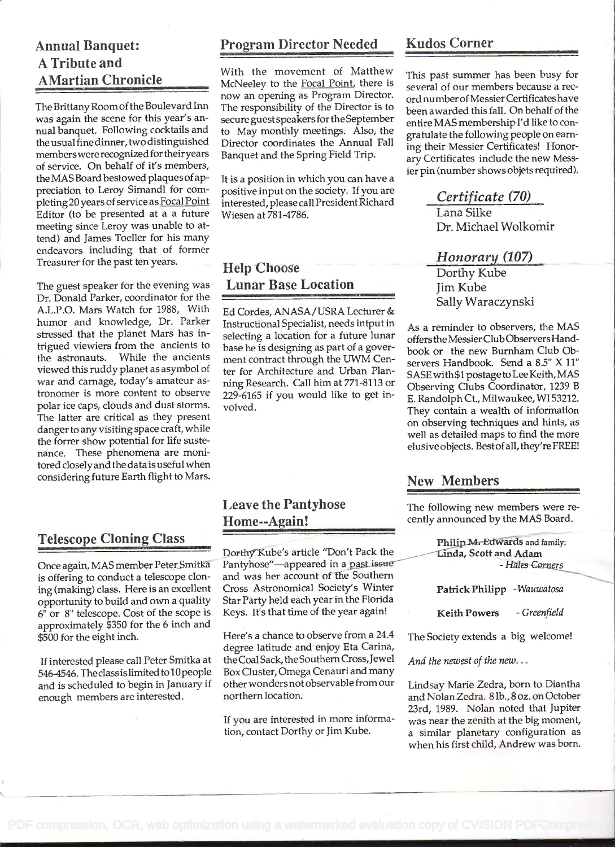## Annual Banquet: A Tribute and AMartian Chronicle

The Brittany Room of the Boulevard Inn was again the scene for this year's annual banquet. Following cocktails and the usual fine dinner, two distinguished memberswere recognized for their years of service. On behalf of it's members, the MAS Board bestowed plaques of appreciation to Leroy Simandl for completing 20 years of service as Focal Point Editor (to be presented at a a future meeting since Leroy was unable to attend) and James Toeller for his many endeavors including that of former Treasurer for the past ten years.

The guest speaker for the evening was Dr. Donald Parker, coordinator for the A.L.P.O. Mars Watch for 1988, With humor and knowledge, Dr. Parker stressed that the planet Mars has intrigued viewiers from the ancients to the astronauts. While the ancients viewed this ruddy planet as asymbol of war and carnage, today's amateur astronomer is more content to observe polar ice caps, clouds and dust storms. The latter are critical as they present danger to any visiting space craft, while the forrer show potential for life sustenance. These phenomena are monitored closely and the data is useful when considering future Earth flight to Mars.

## Telescope Cloning Class

Once again, MAS member Peter Smitkä is offering to conduct a telescope cloning (making) class. Here is an excellent opportunity to build and own a quality 6" or 8' telescope. Cost of the scope is approximately \$350 for the 6 inch and \$500 for the eight inch.

If interested please call Peter Smitka at 546-4546. Theclassislimited to 10 people and is scheduled to begin in January if enough members are interested.

#### Program Director Needed

With the movement of Matthew McNeeley to the Focal Point, there is now an opening as Program Director. The responsibility of the Director is to secure guest speakers forthe September to May monthly meetings. Also, the Director coordinates the Annual Fall Banquet and the Spring Field Trip.

It is a position in which you can have a positive input on the society. If you are interested, please call President Richard Wiesen at 781-4786.

## Help Choose Lunar Base Location

Ed Cordes, ANASA/USRA Lecturer & Instructional Specialist, needs intput in selecting a location for a future lunar base he is designing as part of a goverment contract through the UWM Center for Architecture and Urban Planning Research. Call him at 771-8113 or 229-6165 if you would like to get involved.

## Leave the Pantyhose Home--Again!

Dorthy Kube's article "Don't Pack the Pantyhose"-appeared in a past issue and was her account of the Southern Cross Astronomical Society's Winter Star Party held each year in the Florida Keys. It's that time of the year again!

Here's a chance to observe from a 24.4 degree latitude and enjoy Eta Carina, the Coal Sack, the Southern Cross, Jewel Box Cluster, Omega Cenauri and many other wonders not observable from our northern location.

If you are interested in more information, contact Dorthy or Jim Kube.

#### Kudos Corner

This past summer has been busy for several of our members because a record numberof Messier Certificates have been awarded this fall. On behalf of the entire MAS membership I'd like to congratulate the following people on earning their Messier Certificates! Honorary Certificates include the new Messier pin (number shows objets required).

## Certificate (70)

Lana Silke Dr. Michael Wolkomir

#### Honorary (107)

Dorthy Kube Jim Kube Sally Waraczynski

As a reminder to observers, the MAS offers the MessierCiub Observers Handbook or the new Burnham Club Observers Handbook. Send a 8.5" X Il" SASE with \$1 postage to Lee Keith, MAS Observing Clubs Coordinator, 1239 <sup>B</sup> E. Randolph Ct., Milwaukee, WI 53212. They contain a wealth of information on observing techniques and hints, as well as detailed maps to find the more elusiveobjects. Bestofall, they're FREE!

#### New Members

The following new members were recently announced by the MAS Board.

Philip M<del>. Edwards</del> and family:<br>Linda, Scott and Adam<br>*-Hates Corners* 

Patrick Philipp - Wauwatosa

Keith Powers - Greenfield

The Society extends a big welcome!

And the newest of the new...

Lindsay Marie Zedra, born to Diantha and Nolan Zedra. 8 lb., 8 oz. on October 23rd, 1989. Nolan noted that Jupiter was near the zenith at the big moment, a similar planetary configuration as when his first child, Andrew was born.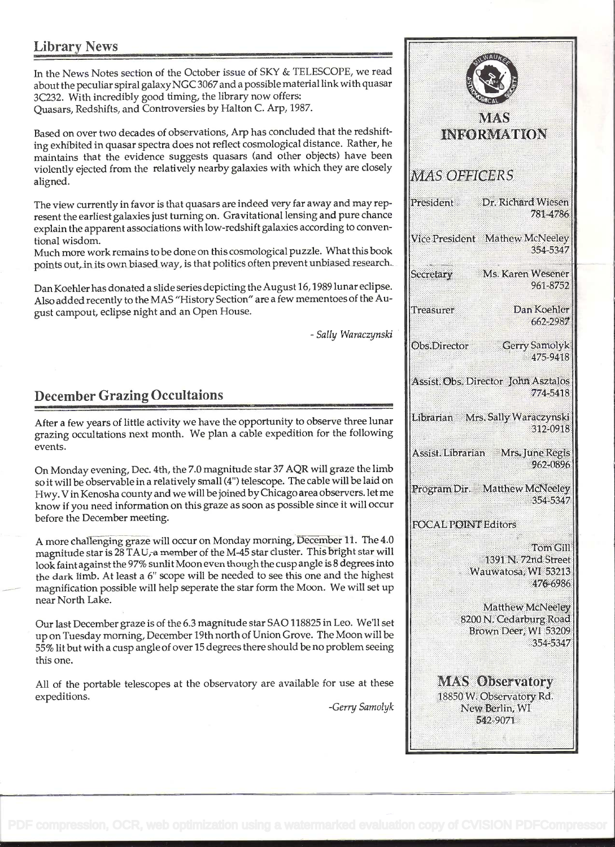## Library News

In the News Notes section of the October issue of SKY & TELESCOPE, we read about the peculiar spiral galaxy NCC 3067 and a possible material link with quasar 3C232. With incredibly good timing, the library now offers: Quasars, Redsbifts, and Controversies by Halton C. Arp, 1987.

Based on over two decades of observations, Arp has concluded that the redshifting exhibited in quasar spectra does not reflect cosmological distance. Rather, he maintains that the evidence suggests quasars (and other objects) have been violently ejected from the relatively nearby galaxies with which they are closely  $MAS$   $OFFIGERS$ aligned.

The view currently in favor is that quasars are indeed very far away and may represent the earliest galaxies just turning on. Gravitational lensing and pure chance explain the apparent associations with low-redshift galaxies according to conventional wisdom.

Much more work remains to be done on this cosmological puzzle. What this book points out, in its own biased way, is that politics often prevent unbiased research.

Dan Koehier has donated a slide series depicting the August16, 1989 lunar eclipse. Also added recently to the MAS "History Section" are a few mementoes of the August campout, eclipse night and an Open House.

## December Grazing Occultaions

After a few years of little activity we have the opportunity to observe three lunar [Librarian Mrs. Sally Waraczynski grazing occultations next month. We plan a cable expedition for the following events.

On Monday evening, Dec. 4th, the 7.0 magnitude star 37 AQR will graze the limb so it will be observable in a relatively small (4") telescope. The cable will be laid on Frogram Dir. Matthew McNeeley Hwy. Vin Kenosha county and we will be joined by Chicago area observers, let me know if you need information on this graze as soon as possible since it will occur before the December meeting.

A more challenging graze will occur on Monday morning, December 11. The 4.0 magnitude star is 28 TAU, a member of the M-45 star cluster. This bright star will look faintagainst the 97% sunlit Moon even though the cusp angle is 8 degrees into the dark limb. At least a 6" scope will be needed to see this one and the highest magnification possible will help seperate the star form the Moon. We will setup near North Lake.

Our last December graze is of the 6.3 magnitude star SAO I 18825 in Leo. We'll set up on Tuesday morning, December 19th north of Union Grove. The Moon will be 55% lit but with a cusp angle of over 15 degrees there should be no problem seeing this one.

All of the portable telescopes at the observatory are available for use at these expeditions.

-Gerry Samolyk